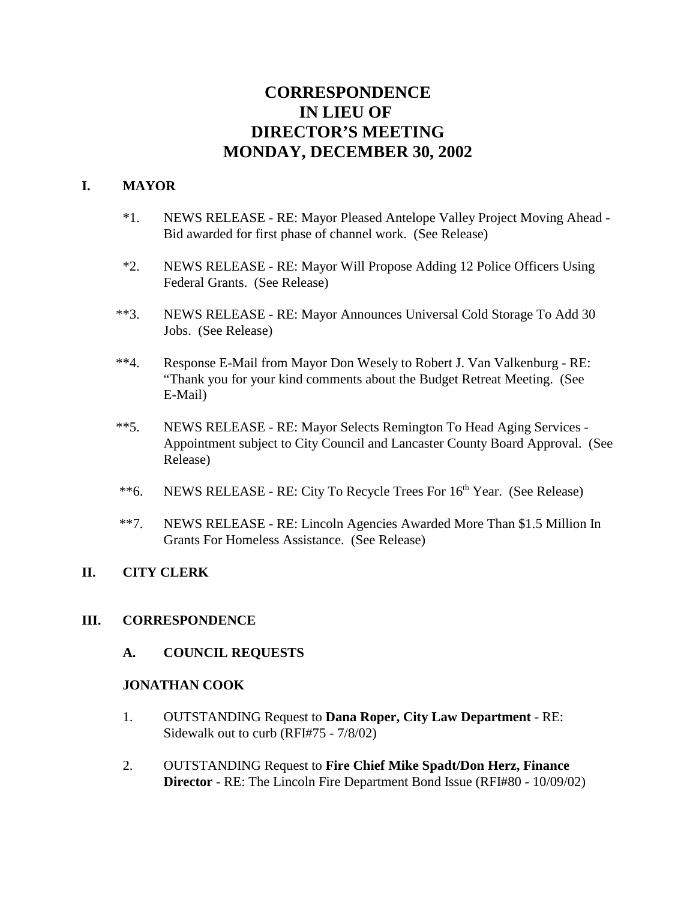# **CORRESPONDENCE IN LIEU OF DIRECTOR'S MEETING MONDAY, DECEMBER 30, 2002**

# **I. MAYOR**

- \*1. NEWS RELEASE RE: Mayor Pleased Antelope Valley Project Moving Ahead Bid awarded for first phase of channel work. (See Release)
- \*2. NEWS RELEASE RE: Mayor Will Propose Adding 12 Police Officers Using Federal Grants. (See Release)
- \*\*3. NEWS RELEASE RE: Mayor Announces Universal Cold Storage To Add 30 Jobs. (See Release)
- \*\*4. Response E-Mail from Mayor Don Wesely to Robert J. Van Valkenburg RE: "Thank you for your kind comments about the Budget Retreat Meeting. (See E-Mail)
- \*\*5. NEWS RELEASE RE: Mayor Selects Remington To Head Aging Services Appointment subject to City Council and Lancaster County Board Approval. (See Release)
- \*\*6. NEWS RELEASE RE: City To Recycle Trees For  $16<sup>th</sup>$  Year. (See Release)
- \*\*7. NEWS RELEASE RE: Lincoln Agencies Awarded More Than \$1.5 Million In Grants For Homeless Assistance. (See Release)

# **II. CITY CLERK**

# **III. CORRESPONDENCE**

**A. COUNCIL REQUESTS**

# **JONATHAN COOK**

- 1. OUTSTANDING Request to **Dana Roper, City Law Department** RE: Sidewalk out to curb (RFI#75 - 7/8/02)
- 2. OUTSTANDING Request to **Fire Chief Mike Spadt/Don Herz, Finance Director** - RE: The Lincoln Fire Department Bond Issue (RFI#80 - 10/09/02)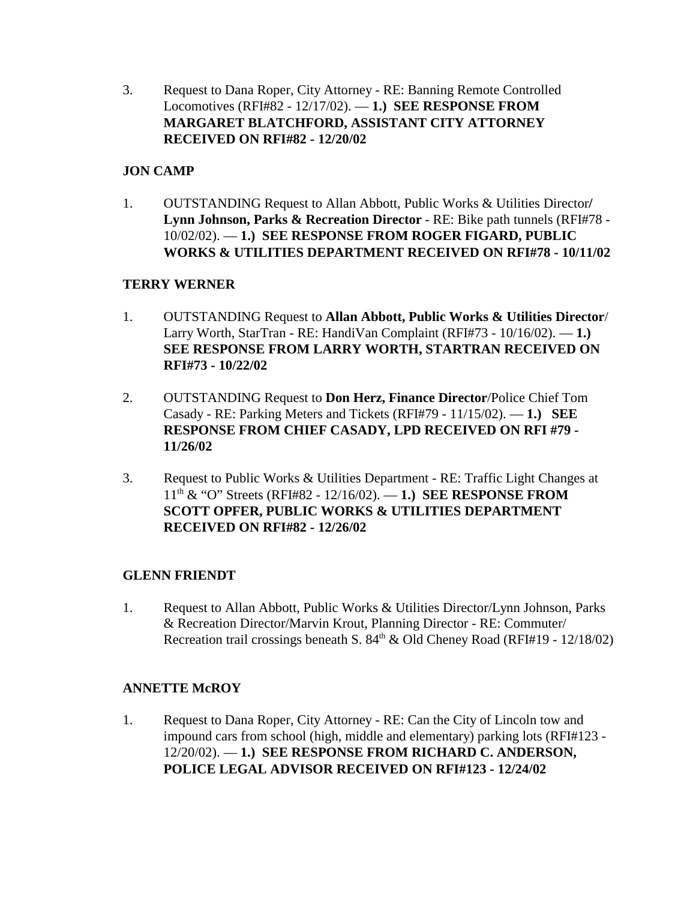3. Request to Dana Roper, City Attorney - RE: Banning Remote Controlled Locomotives (RFI#82 - 12/17/02). — **1.) SEE RESPONSE FROM MARGARET BLATCHFORD, ASSISTANT CITY ATTORNEY RECEIVED ON RFI#82 - 12/20/02**

# **JON CAMP**

1. OUTSTANDING Request to Allan Abbott, Public Works & Utilities Director**/ Lynn Johnson, Parks & Recreation Director** - RE: Bike path tunnels (RFI#78 - 10/02/02). — **1.) SEE RESPONSE FROM ROGER FIGARD, PUBLIC WORKS & UTILITIES DEPARTMENT RECEIVED ON RFI#78 - 10/11/02**

# **TERRY WERNER**

- 1. OUTSTANDING Request to **Allan Abbott, Public Works & Utilities Director**/ Larry Worth, StarTran - RE: HandiVan Complaint (RFI#73 - 10/16/02). — **1.) SEE RESPONSE FROM LARRY WORTH, STARTRAN RECEIVED ON RFI#73 - 10/22/02**
- 2. OUTSTANDING Request to **Don Herz, Finance Director**/Police Chief Tom Casady - RE: Parking Meters and Tickets (RFI#79 - 11/15/02). — **1.) SEE RESPONSE FROM CHIEF CASADY, LPD RECEIVED ON RFI #79 - 11/26/02**
- 3. Request to Public Works & Utilities Department RE: Traffic Light Changes at 11th & "O" Streets (RFI#82 - 12/16/02). — **1.) SEE RESPONSE FROM SCOTT OPFER, PUBLIC WORKS & UTILITIES DEPARTMENT RECEIVED ON RFI#82 - 12/26/02**

# **GLENN FRIENDT**

1. Request to Allan Abbott, Public Works & Utilities Director/Lynn Johnson, Parks & Recreation Director/Marvin Krout, Planning Director - RE: Commuter/ Recreation trail crossings beneath S.  $84<sup>th</sup>$  & Old Cheney Road (RFI#19 - 12/18/02)

# **ANNETTE McROY**

1. Request to Dana Roper, City Attorney - RE: Can the City of Lincoln tow and impound cars from school (high, middle and elementary) parking lots (RFI#123 - 12/20/02). — **1.) SEE RESPONSE FROM RICHARD C. ANDERSON, POLICE LEGAL ADVISOR RECEIVED ON RFI#123 - 12/24/02**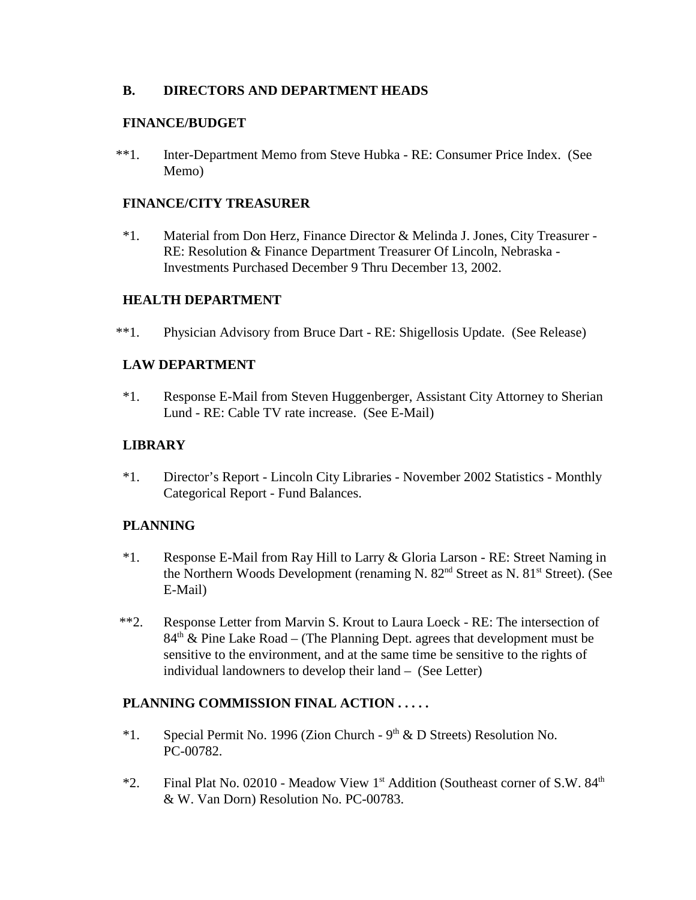# **B. DIRECTORS AND DEPARTMENT HEADS**

# **FINANCE/BUDGET**

\*\*1. Inter-Department Memo from Steve Hubka - RE: Consumer Price Index. (See Memo)

# **FINANCE/CITY TREASURER**

\*1. Material from Don Herz, Finance Director & Melinda J. Jones, City Treasurer - RE: Resolution & Finance Department Treasurer Of Lincoln, Nebraska - Investments Purchased December 9 Thru December 13, 2002.

# **HEALTH DEPARTMENT**

\*\*1. Physician Advisory from Bruce Dart - RE: Shigellosis Update. (See Release)

# **LAW DEPARTMENT**

\*1. Response E-Mail from Steven Huggenberger, Assistant City Attorney to Sherian Lund - RE: Cable TV rate increase. (See E-Mail)

# **LIBRARY**

\*1. Director's Report - Lincoln City Libraries - November 2002 Statistics - Monthly Categorical Report - Fund Balances.

# **PLANNING**

- \*1. Response E-Mail from Ray Hill to Larry & Gloria Larson RE: Street Naming in the Northern Woods Development (renaming N. 82<sup>nd</sup> Street as N. 81<sup>st</sup> Street). (See E-Mail)
- \*\*2. Response Letter from Marvin S. Krout to Laura Loeck RE: The intersection of  $84<sup>th</sup>$  & Pine Lake Road – (The Planning Dept. agrees that development must be sensitive to the environment, and at the same time be sensitive to the rights of individual landowners to develop their land – (See Letter)

# **PLANNING COMMISSION FINAL ACTION . . . . .**

- \*1. Special Permit No. 1996 (Zion Church  $9<sup>th</sup> \& D$  Streets) Resolution No. PC-00782.
- \*2. Final Plat No. 02010 Meadow View 1<sup>st</sup> Addition (Southeast corner of S.W. 84<sup>th</sup> & W. Van Dorn) Resolution No. PC-00783.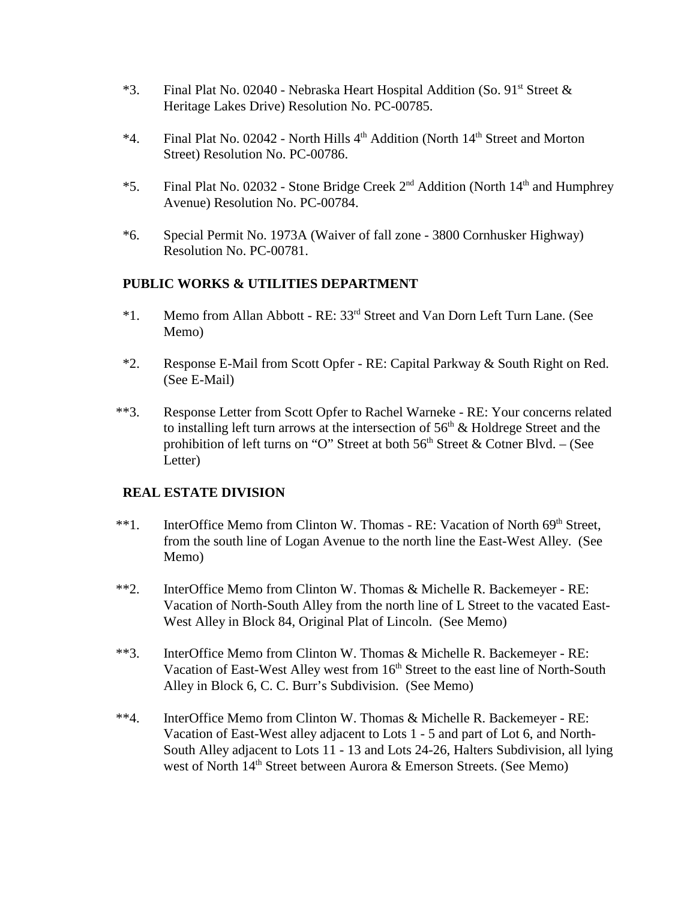- \*3. Final Plat No. 02040 Nebraska Heart Hospital Addition (So. 91st Street  $\&$ Heritage Lakes Drive) Resolution No. PC-00785.
- \*4. Final Plat No. 02042 North Hills 4<sup>th</sup> Addition (North 14<sup>th</sup> Street and Morton Street) Resolution No. PC-00786.
- \*5. Final Plat No. 02032 Stone Bridge Creek 2nd Addition (North 14th and Humphrey Avenue) Resolution No. PC-00784.
- \*6. Special Permit No. 1973A (Waiver of fall zone 3800 Cornhusker Highway) Resolution No. PC-00781.

#### **PUBLIC WORKS & UTILITIES DEPARTMENT**

- \*1. Memo from Allan Abbott RE: 33rd Street and Van Dorn Left Turn Lane. (See Memo)
- \*2. Response E-Mail from Scott Opfer RE: Capital Parkway & South Right on Red. (See E-Mail)
- \*\*3. Response Letter from Scott Opfer to Rachel Warneke RE: Your concerns related to installing left turn arrows at the intersection of  $56<sup>th</sup>$  & Holdrege Street and the prohibition of left turns on "O" Street at both  $56<sup>th</sup>$  Street & Cotner Blvd. – (See Letter)

#### **REAL ESTATE DIVISION**

- \*\*1. InterOffice Memo from Clinton W. Thomas RE: Vacation of North 69<sup>th</sup> Street, from the south line of Logan Avenue to the north line the East-West Alley. (See Memo)
- \*\*2. InterOffice Memo from Clinton W. Thomas & Michelle R. Backemeyer RE: Vacation of North-South Alley from the north line of L Street to the vacated East-West Alley in Block 84, Original Plat of Lincoln. (See Memo)
- \*\*3. InterOffice Memo from Clinton W. Thomas & Michelle R. Backemeyer RE: Vacation of East-West Alley west from 16<sup>th</sup> Street to the east line of North-South Alley in Block 6, C. C. Burr's Subdivision. (See Memo)
- \*\*4. InterOffice Memo from Clinton W. Thomas & Michelle R. Backemeyer RE: Vacation of East-West alley adjacent to Lots 1 - 5 and part of Lot 6, and North-South Alley adjacent to Lots 11 - 13 and Lots 24-26, Halters Subdivision, all lying west of North 14<sup>th</sup> Street between Aurora & Emerson Streets. (See Memo)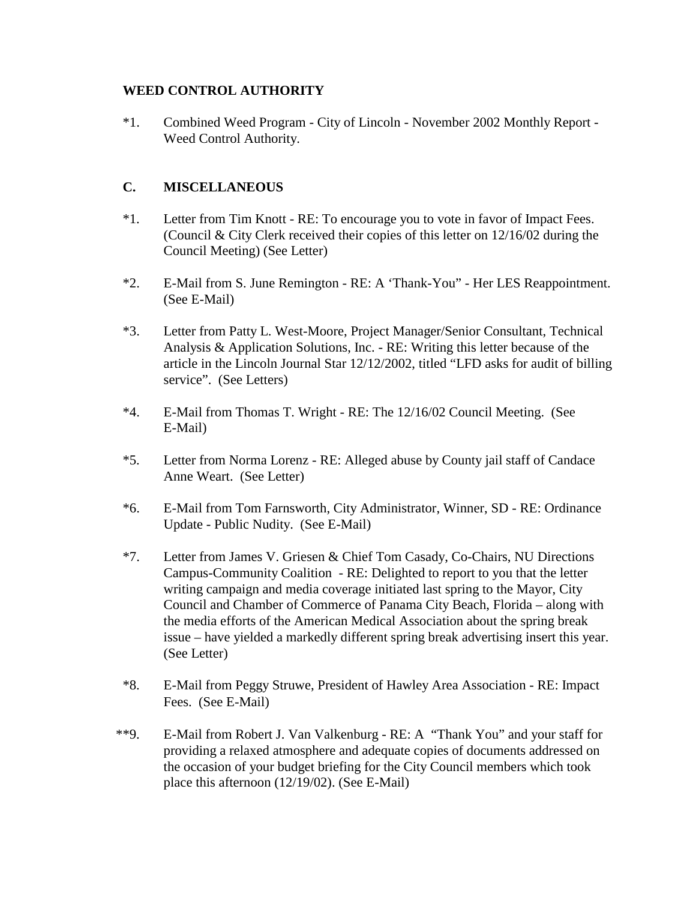# **WEED CONTROL AUTHORITY**

\*1. Combined Weed Program - City of Lincoln - November 2002 Monthly Report - Weed Control Authority.

# **C. MISCELLANEOUS**

- \*1. Letter from Tim Knott RE: To encourage you to vote in favor of Impact Fees. (Council & City Clerk received their copies of this letter on 12/16/02 during the Council Meeting) (See Letter)
- \*2. E-Mail from S. June Remington RE: A 'Thank-You" Her LES Reappointment. (See E-Mail)
- \*3. Letter from Patty L. West-Moore, Project Manager/Senior Consultant, Technical Analysis & Application Solutions, Inc. - RE: Writing this letter because of the article in the Lincoln Journal Star 12/12/2002, titled "LFD asks for audit of billing service". (See Letters)
- \*4. E-Mail from Thomas T. Wright RE: The 12/16/02 Council Meeting. (See E-Mail)
- \*5. Letter from Norma Lorenz RE: Alleged abuse by County jail staff of Candace Anne Weart. (See Letter)
- \*6. E-Mail from Tom Farnsworth, City Administrator, Winner, SD RE: Ordinance Update - Public Nudity. (See E-Mail)
- \*7. Letter from James V. Griesen & Chief Tom Casady, Co-Chairs, NU Directions Campus-Community Coalition - RE: Delighted to report to you that the letter writing campaign and media coverage initiated last spring to the Mayor, City Council and Chamber of Commerce of Panama City Beach, Florida – along with the media efforts of the American Medical Association about the spring break issue – have yielded a markedly different spring break advertising insert this year. (See Letter)
- \*8. E-Mail from Peggy Struwe, President of Hawley Area Association RE: Impact Fees. (See E-Mail)
- \*\*9. E-Mail from Robert J. Van Valkenburg RE: A "Thank You" and your staff for providing a relaxed atmosphere and adequate copies of documents addressed on the occasion of your budget briefing for the City Council members which took place this afternoon (12/19/02). (See E-Mail)